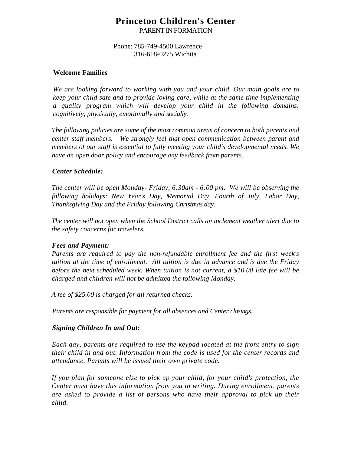# **Princeton Children's Center**

PARENT IN FORMATION

Phone: 785-749-4500 Lawrence 316-618-0275 Wichita

#### **Welcome Families**

*We are looking forward to working with you and your child. Our main goals are to keep your child safe and to provide loving care, while at the same time implementing a quality program which will develop your child in the following domains: cognitively, physically, emotionally and socially.* 

*The following policies are some of the most common areas of concern to both parents and center staff members. We strongly feel that open communication between parent and members of our staff is essential to fully meeting your child's developmental needs. We have an open door policy and encourage any feedback from parents.* 

#### *Center Schedule:*

*The center will be open Monday- Friday, 6:30am - 6:00 pm. We will be observing the following holidays: New Year's Day, Memorial Day, Fourth of July, Labor Day, Thanksgiving Day and the Friday following Christmas day.* 

*The center will not open when the School District calls an inclement weather alert due to the safety concerns for travelers.* 

#### *Fees and Payment:*

*Parents are required to pay the non-refundable enrollment fee and the first week's tuition at the time of enrollment. All tuition is due in advance and is due the Friday before the next scheduled week. When tuition is not current, a \$10.00 late fee will be charged and children will not be admitted the following Monday.* 

*A fee of \$25.00 is charged for all returned checks.* 

*Parents are responsible for payment for all absences and Center closings.* 

## *Signing Children In and Out:*

*Each day, parents are required to use the keypad located at the front entry to sign their child in and out. Information from the code is used for the center records and attendance. Parents will be issued their own private code.* 

*If you plan for someone else to pick up your child, for your child's protection, the Center must have this information from you in writing. During enrollment, parents are asked to provide a list of persons who have their approval to pick up their child.*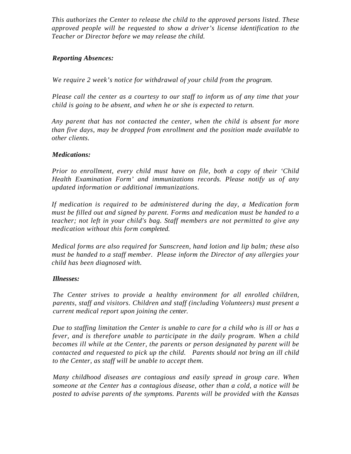*This authorizes the Center to release the child to the approved persons listed. These approved people will be requested to show a driver's license identification to the Teacher or Director before we may release the child.* 

# *Reporting Absences:*

*We require 2 week's notice for withdrawal of your child from the program.* 

*Please call the center as a courtesy to our staff to inform us of any time that your child is going to be absent, and when he or she is expected to return.* 

*Any parent that has not contacted the center, when the child is absent for more than five days, may be dropped from enrollment and the position made available to other clients.* 

## *Medications:*

*Prior to enrollment, every child must have on file, both a copy of their 'Child Health Examination Form' and immunizations records. Please notify us of any updated information or additional immunizations.* 

*If medication is required to be administered during the day, a Medication form must be filled out and signed by parent. Forms and medication must be handed to a teacher; not left in your child's bag. Staff members are not permitted to give any medication without this form completed.* 

*Medical forms are also required for Sunscreen, hand lotion and lip balm; these also must be handed to a staff member. Please inform the Director of any allergies your child has been diagnosed with.* 

## *Illnesses:*

*The Center strives to provide a healthy environment for all enrolled children, parents, staff and visitors. Children and staff (including Volunteers) must present a current medical report upon joining the center.* 

*Due to staffing limitation the Center is unable to care for a child who is ill or has a fever, and is therefore unable to participate in the daily program. When a child becomes ill while at the Center, the parents or person designated by parent will be contacted and requested to pick up the child. Parents should not bring an ill child to the Center, as staff will be unable to accept them.* 

*Many childhood diseases are contagious and easily spread in group care. When someone at the Center has a contagious disease, other than a cold, a notice will be posted to advise parents of the symptoms. Parents will be provided with the Kansas*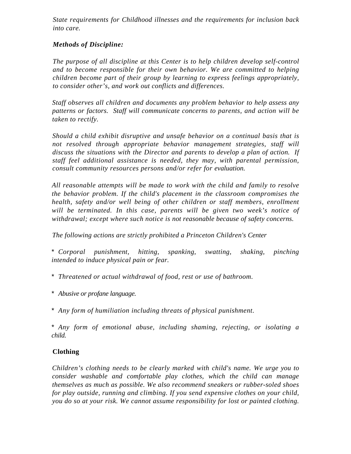*State requirements for Childhood illnesses and the requirements for inclusion back into care.* 

# *Methods of Discipline:*

*The purpose of all discipline at this Center is to help children develop self-control and to become responsible for their own behavior. We are committed to helping children become part of their group by learning to express feelings appropriately, to consider other's, and work out conflicts and differences.* 

*Staff observes all children and documents any problem behavior to help assess any patterns or factors. Staff will communicate concerns to parents, and action will be taken to rectify.* 

*Should a child exhibit disruptive and unsafe behavior on a continual basis that is not resolved through appropriate behavior management strategies, staff will discuss the situations with the Director and parents to develop a plan of action. If staff feel additional assistance is needed, they may, with parental permission, consult community resources persons and/or refer for evaluation.* 

*All reasonable attempts will be made to work with the child and family to resolve the behavior problem. If the child's placement in the classroom compromises the health, safety and/or well being of other children or staff members, enrollment* will be terminated. In this case, parents will be given two week's notice of *withdrawal; except where such notice is not reasonable because of safety concerns.* 

*The following actions are strictly prohibited a Princeton Children's Center* 

\* *Corporal punishment, hitting, spanking, swatting, shaking, pinching intended to induce physical pain or fear.* 

- \* *Threatened or actual withdrawal of food, rest or use of bathroom.*
- \* *Abusive or profane language.*
- \* *Any form of humiliation including threats of physical punishment.*

\* *Any form of emotional abuse, including shaming, rejecting, or isolating a child.* 

# **Clothing**

*Children's clothing needs to be clearly marked with child's name. We urge you to consider washable and comfortable play clothes, which the child can manage themselves as much as possible. We also recommend sneakers or rubber-soled shoes for play outside, running and climbing. If you send expensive clothes on your child, you do so at your risk. We cannot assume responsibility for lost or painted clothing.*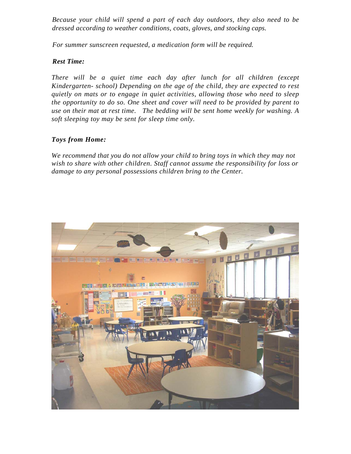*Because your child will spend a part of each day outdoors, they also need to be dressed according to weather conditions, coats, gloves, and stocking caps.* 

*For summer sunscreen requested, a medication form will be required.* 

#### *Rest Time:*

*There will be a quiet time each day after lunch for all children (except Kindergarten- school) Depending on the age of the child, they are expected to rest quietly on mats or to engage in quiet activities, allowing those who need to sleep the opportunity to do so. One sheet and cover will need to be provided by parent to use on their mat at rest time. The bedding will be sent home weekly for washing. A soft sleeping toy may be sent for sleep time only.* 

## *Toys from Home:*

*We recommend that you do not allow your child to bring toys in which they may not wish to share with other children. Staff cannot assume the responsibility for loss or damage to any personal possessions children bring to the Center.* 

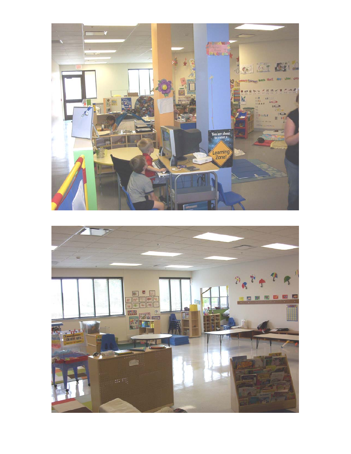

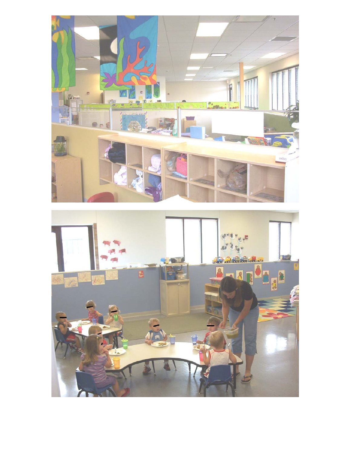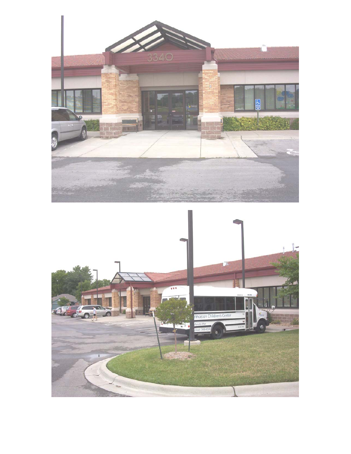